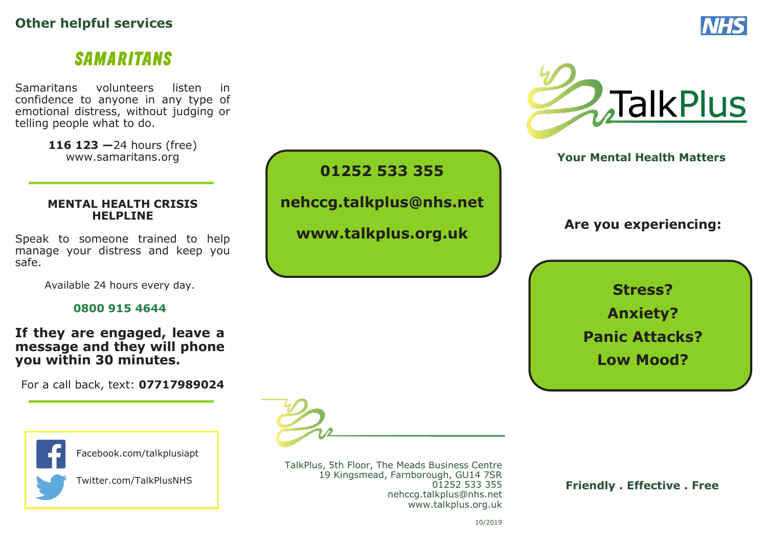## **Other helpful services**

# **SAMARITANS**

Samaritans volunteers listen in confidence to anyone in any type of emotional distress, without judging or telling people what to do.

> **116 123 —**24 hours (free) www.samaritans.org

#### **MENTAL HEALTH CRISIS HELPLINE**

Speak to someone trained to help manage your distress and keep you safe.

Available 24 hours every day.

#### **0800 915 4644**

#### **If they are engaged, leave a message and they will phone you within 30 minutes.**

For a call back, text: **07717989024**



TalkPlus, 5th Floor, The Meads Business Centre 19 Kingsmead, Farnborough, GU14 7SR 01252 533 355 nehccg.talkplus@nhs.net www.talkplus.org.uk

**01252 533 355**

**nehccg.talkplus@nhs.net**

**www.talkplus.org.uk**

 **Friendly . Effective . Free**





**Your Mental Health Matters**

## **Are you experiencing:**

**Stress? Anxiety? Panic Attacks? Low Mood?**